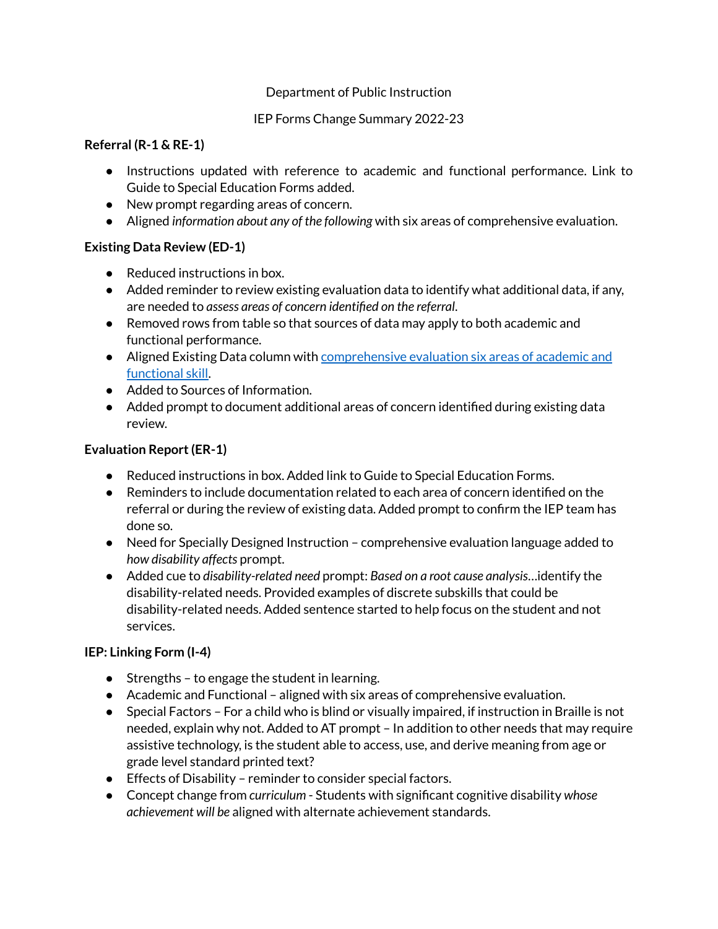#### Department of Public Instruction

#### IEP Forms Change Summary 2022-23

#### **Referral (R-1 & RE-1)**

- Instructions updated with reference to academic and functional performance. Link to Guide to Special Education Forms added.
- New prompt regarding areas of concern.
- Aligned *information about any of the following* with six areas of comprehensive evaluation.

### **Existing Data Review (ED-1)**

- Reduced instructions in box.
- Added reminder to review existing evaluation data to identify what additional data, if any, are needed to *assess areas of concern identified on the referral*.
- Removed rows from table so that sources of data may apply to both academic and functional performance.
- Aligned Existing Data column with [comprehensive](https://dpi.wi.gov/sped/ccr-ieps/comp-eval/six-areas#Six) evaluation six areas of academic and [functional](https://dpi.wi.gov/sped/ccr-ieps/comp-eval/six-areas#Six) skill.
- Added to Sources of Information.
- Added prompt to document additional areas of concern identified during existing data review.

## **Evaluation Report(ER-1)**

- Reduced instructions in box. Added link to Guide to Special Education Forms.
- Reminders to include documentation related to each area of concern identified on the referral or during the review of existing data. Added prompt to confirm the IEP team has done so.
- Need for Specially Designed Instruction comprehensive evaluation language added to *how disability affects* prompt.
- Added cue to *disability-related need* prompt: *Based on a root cause analysis*…identify the disability-related needs. Provided examples of discrete subskills that could be disability-related needs. Added sentence started to help focus on the student and not services.

### **IEP: Linking Form (I-4)**

- Strengths to engage the student in learning.
- Academic and Functional aligned with six areas of comprehensive evaluation.
- Special Factors For a child who is blind or visually impaired, if instruction in Braille is not needed, explain why not. Added to AT prompt – In addition to other needs that may require assistive technology, is the student able to access, use, and derive meaning from age or grade level standard printed text?
- Effects of Disability reminder to consider special factors.
- Concept change from *curriculum* Students with significant cognitive disability *whose achievement will be* aligned with alternate achievement standards.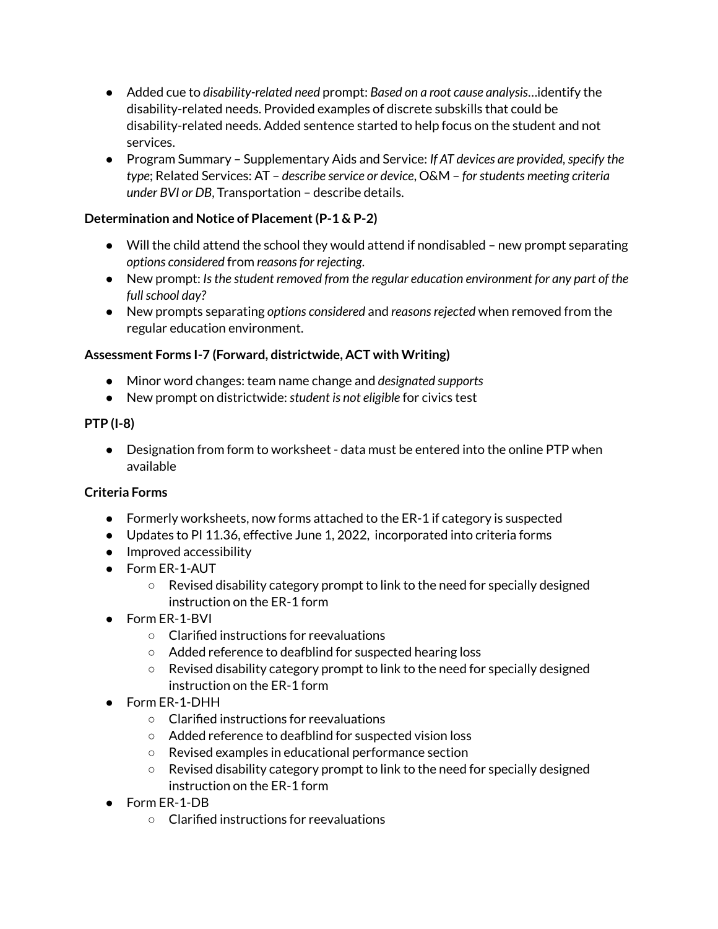- Added cue to *disability-related need* prompt: *Based on a root cause analysis*…identify the disability-related needs. Provided examples of discrete subskills that could be disability-related needs. Added sentence started to help focus on the student and not services.
- **•** Program Summary Supplementary Aids and Service: If AT *devices are provided, specify the type*; Related Services: AT – *describe service or device*, O&M – *forstudents meeting criteria under BVI or DB*, Transportation – describe details.

### **Determination and Notice of Placement(P-1 & P-2)**

- Will the child attend the school they would attend if nondisabled new prompt separating *options considered* from *reasonsfor rejecting*.
- New prompt: *Isthe student removed from the regular education environment for any part of the fullschool day?*
- New prompts separating *options considered* and *reasonsrejected* when removed from the regular education environment.

## **Assessment Forms I-7 (Forward, districtwide, ACT with Writing)**

- Minor word changes: team name change and *designated supports*
- New prompt on districtwide:*student is not eligible* for civics test

## **PTP (I-8)**

● Designation from form to worksheet - data must be entered into the online PTP when available

# **Criteria Forms**

- Formerly worksheets, now forms attached to the ER-1 if category is suspected
- Updates to PI 11.36, effective June 1, 2022, incorporated into criteria forms
- Improved accessibility
- Form ER-1-AUT
	- Revised disability category prompt to link to the need for specially designed instruction on the ER-1 form
- Form ER-1-BVI
	- Clarified instructions for reevaluations
	- Added reference to deafblind for suspected hearing loss
	- $\circ$  Revised disability category prompt to link to the need for specially designed instruction on the ER-1 form
- Form ER-1-DHH
	- Clarified instructions for reevaluations
	- Added reference to deafblind for suspected vision loss
	- Revised examples in educational performance section
	- $\circ$  Revised disability category prompt to link to the need for specially designed instruction on the ER-1 form
- Form ER-1-DB
	- Clarified instructions for reevaluations